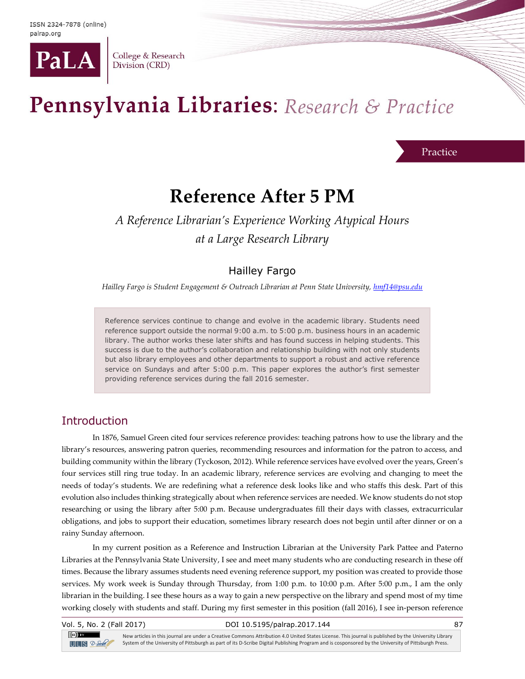

College & Research Division (CRD)

# Pennsylvania Libraries: Research & Practice

#### Practice

# **Reference After 5 PM**

# *A Reference Librarian's Experience Working Atypical Hours at a Large Research Library*

# Hailley Fargo

*Hailley Fargo is Student Engagement & Outreach Librarian at Penn State University[, hmf14@psu.edu](mailto:hmf14@psu.edu)*

Reference services continue to change and evolve in the academic library. Students need reference support outside the normal 9:00 a.m. to 5:00 p.m. business hours in an academic library. The author works these later shifts and has found success in helping students. This success is due to the author's collaboration and relationship building with not only students but also library employees and other departments to support a robust and active reference service on Sundays and after 5:00 p.m. This paper explores the author's first semester providing reference services during the fall 2016 semester.

# **Introduction**

In 1876, Samuel Green cited four services reference provides: teaching patrons how to use the library and the library's resources, answering patron queries, recommending resources and information for the patron to access, and building community within the library (Tyckoson, 2012). While reference services have evolved over the years, Green's four services still ring true today. In an academic library, reference services are evolving and changing to meet the needs of today's students. We are redefining what a reference desk looks like and who staffs this desk. Part of this evolution also includes thinking strategically about when reference services are needed. We know students do not stop researching or using the library after 5:00 p.m. Because undergraduates fill their days with classes, extracurricular obligations, and jobs to support their education, sometimes library research does not begin until after dinner or on a rainy Sunday afternoon.

In my current position as a Reference and Instruction Librarian at the University Park Pattee and Paterno Libraries at the Pennsylvania State University, I see and meet many students who are conducting research in these off times. Because the library assumes students need evening reference support, my position was created to provide those services. My work week is Sunday through Thursday, from 1:00 p.m. to 10:00 p.m. After 5:00 p.m., I am the only librarian in the building. I see these hours as a way to gain a new perspective on the library and spend most of my time working closely with students and staff. During my first semester in this position (fall 2016), I see in-person reference

|  |  | Vol. 5, No. 2 (Fall 2017) |
|--|--|---------------------------|
|  |  |                           |

#### DOI 10.5195/palrap.2017.144 87

 $\left($ cc $\right)$  av  $TITIS$   $2-$  Sorbe

New articles in this journal are under a Creative Commons Attribution 4.0 United States License. This journal is published by the University Library System of the University of Pittsburgh as part of its D-Scribe Digital Publishing Program and is cosponsored by the University of Pittsburgh Press.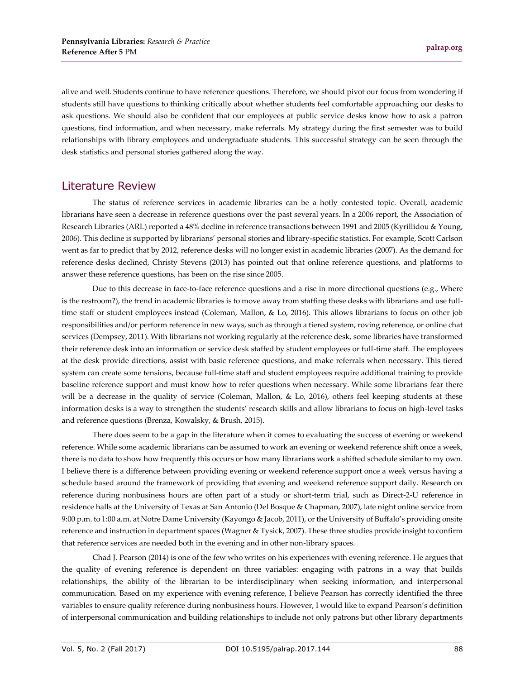alive and well. Students continue to have reference questions. Therefore, we should pivot our focus from wondering if students still have questions to thinking critically about whether students feel comfortable approaching our desks to ask questions. We should also be confident that our employees at public service desks know how to ask a patron questions, find information, and when necessary, make referrals. My strategy during the first semester was to build relationships with library employees and undergraduate students. This successful strategy can be seen through the desk statistics and personal stories gathered along the way.

## Literature Review

The status of reference services in academic libraries can be a hotly contested topic. Overall, academic librarians have seen a decrease in reference questions over the past several years. In a 2006 report, the Association of Research Libraries (ARL) reported a 48% decline in reference transactions between 1991 and 2005 (Kyrillidou & Young, 2006). This decline is supported by librarians' personal stories and library-specific statistics. For example, Scott Carlson went as far to predict that by 2012, reference desks will no longer exist in academic libraries (2007). As the demand for reference desks declined, Christy Stevens (2013) has pointed out that online reference questions, and platforms to answer these reference questions, has been on the rise since 2005.

Due to this decrease in face-to-face reference questions and a rise in more directional questions (e.g., Where is the restroom?), the trend in academic libraries is to move away from staffing these desks with librarians and use fulltime staff or student employees instead (Coleman, Mallon, & Lo, 2016). This allows librarians to focus on other job responsibilities and/or perform reference in new ways, such as through a tiered system, roving reference, or online chat services (Dempsey, 2011). With librarians not working regularly at the reference desk, some libraries have transformed their reference desk into an information or service desk staffed by student employees or full-time staff. The employees at the desk provide directions, assist with basic reference questions, and make referrals when necessary. This tiered system can create some tensions, because full-time staff and student employees require additional training to provide baseline reference support and must know how to refer questions when necessary. While some librarians fear there will be a decrease in the quality of service (Coleman, Mallon, & Lo, 2016), others feel keeping students at these information desks is a way to strengthen the students' research skills and allow librarians to focus on high-level tasks and reference questions (Brenza, Kowalsky, & Brush, 2015).

There does seem to be a gap in the literature when it comes to evaluating the success of evening or weekend reference. While some academic librarians can be assumed to work an evening or weekend reference shift once a week, there is no data to show how frequently this occurs or how many librarians work a shifted schedule similar to my own. I believe there is a difference between providing evening or weekend reference support once a week versus having a schedule based around the framework of providing that evening and weekend reference support daily. Research on reference during nonbusiness hours are often part of a study or short-term trial, such as Direct-2-U reference in residence halls at the University of Texas at San Antonio (Del Bosque & Chapman, 2007), late night online service from 9:00 p.m. to 1:00 a.m. at Notre Dame University (Kayongo & Jacob, 2011), or the University of Buffalo's providing onsite reference and instruction in department spaces (Wagner & Tysick, 2007). These three studies provide insight to confirm that reference services are needed both in the evening and in other non-library spaces.

Chad J. Pearson (2014) is one of the few who writes on his experiences with evening reference. He argues that the quality of evening reference is dependent on three variables: engaging with patrons in a way that builds relationships, the ability of the librarian to be interdisciplinary when seeking information, and interpersonal communication. Based on my experience with evening reference, I believe Pearson has correctly identified the three variables to ensure quality reference during nonbusiness hours. However, I would like to expand Pearson's definition of interpersonal communication and building relationships to include not only patrons but other library departments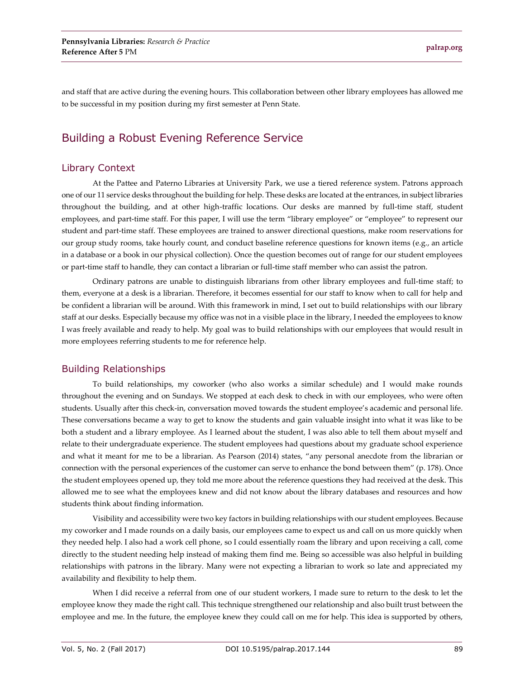and staff that are active during the evening hours. This collaboration between other library employees has allowed me to be successful in my position during my first semester at Penn State.

# Building a Robust Evening Reference Service

#### Library Context

At the Pattee and Paterno Libraries at University Park, we use a tiered reference system. Patrons approach one of our 11 service desks throughout the building for help. These desks are located at the entrances, in subject libraries throughout the building, and at other high-traffic locations. Our desks are manned by full-time staff, student employees, and part-time staff. For this paper, I will use the term "library employee" or "employee" to represent our student and part-time staff. These employees are trained to answer directional questions, make room reservations for our group study rooms, take hourly count, and conduct baseline reference questions for known items (e.g., an article in a database or a book in our physical collection). Once the question becomes out of range for our student employees or part-time staff to handle, they can contact a librarian or full-time staff member who can assist the patron.

Ordinary patrons are unable to distinguish librarians from other library employees and full-time staff; to them, everyone at a desk is a librarian. Therefore, it becomes essential for our staff to know when to call for help and be confident a librarian will be around. With this framework in mind, I set out to build relationships with our library staff at our desks. Especially because my office was not in a visible place in the library, I needed the employees to know I was freely available and ready to help. My goal was to build relationships with our employees that would result in more employees referring students to me for reference help.

#### Building Relationships

To build relationships, my coworker (who also works a similar schedule) and I would make rounds throughout the evening and on Sundays. We stopped at each desk to check in with our employees, who were often students. Usually after this check-in, conversation moved towards the student employee's academic and personal life. These conversations became a way to get to know the students and gain valuable insight into what it was like to be both a student and a library employee. As I learned about the student, I was also able to tell them about myself and relate to their undergraduate experience. The student employees had questions about my graduate school experience and what it meant for me to be a librarian. As Pearson (2014) states, "any personal anecdote from the librarian or connection with the personal experiences of the customer can serve to enhance the bond between them" (p. 178). Once the student employees opened up, they told me more about the reference questions they had received at the desk. This allowed me to see what the employees knew and did not know about the library databases and resources and how students think about finding information.

Visibility and accessibility were two key factors in building relationships with our student employees. Because my coworker and I made rounds on a daily basis, our employees came to expect us and call on us more quickly when they needed help. I also had a work cell phone, so I could essentially roam the library and upon receiving a call, come directly to the student needing help instead of making them find me. Being so accessible was also helpful in building relationships with patrons in the library. Many were not expecting a librarian to work so late and appreciated my availability and flexibility to help them.

When I did receive a referral from one of our student workers, I made sure to return to the desk to let the employee know they made the right call. This technique strengthened our relationship and also built trust between the employee and me. In the future, the employee knew they could call on me for help. This idea is supported by others,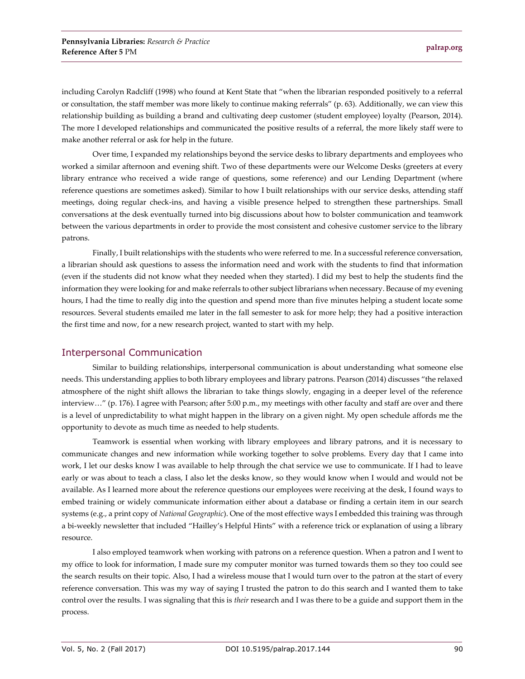including Carolyn Radcliff (1998) who found at Kent State that "when the librarian responded positively to a referral or consultation, the staff member was more likely to continue making referrals" (p. 63). Additionally, we can view this relationship building as building a brand and cultivating deep customer (student employee) loyalty (Pearson, 2014). The more I developed relationships and communicated the positive results of a referral, the more likely staff were to make another referral or ask for help in the future.

Over time, I expanded my relationships beyond the service desks to library departments and employees who worked a similar afternoon and evening shift. Two of these departments were our Welcome Desks (greeters at every library entrance who received a wide range of questions, some reference) and our Lending Department (where reference questions are sometimes asked). Similar to how I built relationships with our service desks, attending staff meetings, doing regular check-ins, and having a visible presence helped to strengthen these partnerships. Small conversations at the desk eventually turned into big discussions about how to bolster communication and teamwork between the various departments in order to provide the most consistent and cohesive customer service to the library patrons.

Finally, I built relationships with the students who were referred to me. In a successful reference conversation, a librarian should ask questions to assess the information need and work with the students to find that information (even if the students did not know what they needed when they started). I did my best to help the students find the information they were looking for and make referrals to other subject librarians when necessary. Because of my evening hours, I had the time to really dig into the question and spend more than five minutes helping a student locate some resources. Several students emailed me later in the fall semester to ask for more help; they had a positive interaction the first time and now, for a new research project, wanted to start with my help.

#### Interpersonal Communication

Similar to building relationships, interpersonal communication is about understanding what someone else needs. This understanding applies to both library employees and library patrons. Pearson (2014) discusses "the relaxed atmosphere of the night shift allows the librarian to take things slowly, engaging in a deeper level of the reference interview…" (p. 176). I agree with Pearson; after 5:00 p.m., my meetings with other faculty and staff are over and there is a level of unpredictability to what might happen in the library on a given night. My open schedule affords me the opportunity to devote as much time as needed to help students.

Teamwork is essential when working with library employees and library patrons, and it is necessary to communicate changes and new information while working together to solve problems. Every day that I came into work, I let our desks know I was available to help through the chat service we use to communicate. If I had to leave early or was about to teach a class, I also let the desks know, so they would know when I would and would not be available. As I learned more about the reference questions our employees were receiving at the desk, I found ways to embed training or widely communicate information either about a database or finding a certain item in our search systems (e.g., a print copy of *National Geographic*). One of the most effective ways I embedded this training was through a bi-weekly newsletter that included "Hailley's Helpful Hints" with a reference trick or explanation of using a library resource.

I also employed teamwork when working with patrons on a reference question. When a patron and I went to my office to look for information, I made sure my computer monitor was turned towards them so they too could see the search results on their topic. Also, I had a wireless mouse that I would turn over to the patron at the start of every reference conversation. This was my way of saying I trusted the patron to do this search and I wanted them to take control over the results. I was signaling that this is *their* research and I was there to be a guide and support them in the process.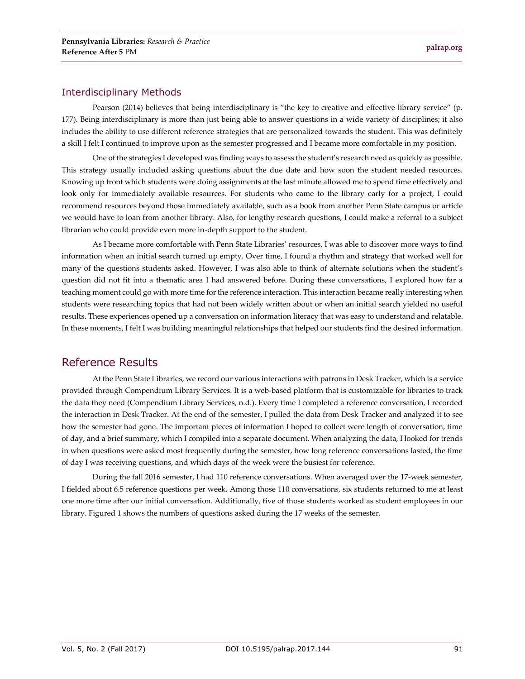#### Interdisciplinary Methods

Pearson (2014) believes that being interdisciplinary is "the key to creative and effective library service" (p. 177). Being interdisciplinary is more than just being able to answer questions in a wide variety of disciplines; it also includes the ability to use different reference strategies that are personalized towards the student. This was definitely a skill I felt I continued to improve upon as the semester progressed and I became more comfortable in my position.

One of the strategies I developed was finding ways to assess the student's research need as quickly as possible. This strategy usually included asking questions about the due date and how soon the student needed resources. Knowing up front which students were doing assignments at the last minute allowed me to spend time effectively and look only for immediately available resources. For students who came to the library early for a project, I could recommend resources beyond those immediately available, such as a book from another Penn State campus or article we would have to loan from another library. Also, for lengthy research questions, I could make a referral to a subject librarian who could provide even more in-depth support to the student.

As I became more comfortable with Penn State Libraries' resources, I was able to discover more ways to find information when an initial search turned up empty. Over time, I found a rhythm and strategy that worked well for many of the questions students asked. However, I was also able to think of alternate solutions when the student's question did not fit into a thematic area I had answered before. During these conversations, I explored how far a teaching moment could go with more time for the reference interaction. This interaction became really interesting when students were researching topics that had not been widely written about or when an initial search yielded no useful results. These experiences opened up a conversation on information literacy that was easy to understand and relatable. In these moments, I felt I was building meaningful relationships that helped our students find the desired information.

### Reference Results

At the Penn State Libraries, we record our various interactions with patrons in Desk Tracker, which is a service provided through Compendium Library Services. It is a web-based platform that is customizable for libraries to track the data they need (Compendium Library Services, n.d.). Every time I completed a reference conversation, I recorded the interaction in Desk Tracker. At the end of the semester, I pulled the data from Desk Tracker and analyzed it to see how the semester had gone. The important pieces of information I hoped to collect were length of conversation, time of day, and a brief summary, which I compiled into a separate document. When analyzing the data, I looked for trends in when questions were asked most frequently during the semester, how long reference conversations lasted, the time of day I was receiving questions, and which days of the week were the busiest for reference.

During the fall 2016 semester, I had 110 reference conversations. When averaged over the 17-week semester, I fielded about 6.5 reference questions per week. Among those 110 conversations, six students returned to me at least one more time after our initial conversation. Additionally, five of those students worked as student employees in our library. Figured 1 shows the numbers of questions asked during the 17 weeks of the semester.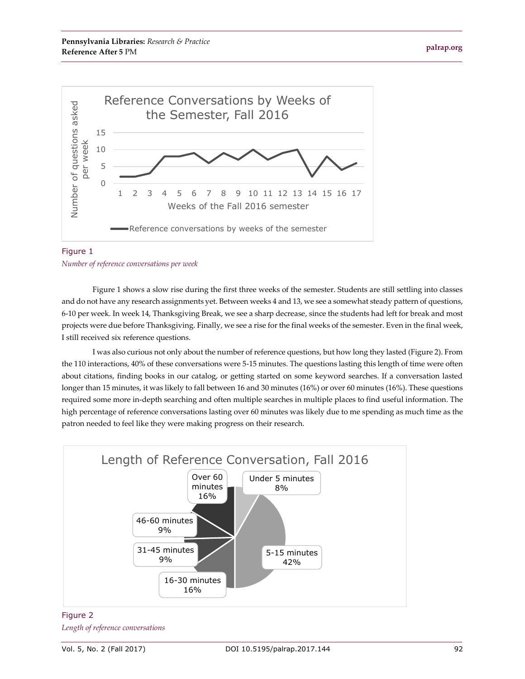

#### Figure 1 *Number of reference conversations per week*

Figure 1 shows a slow rise during the first three weeks of the semester. Students are still settling into classes and do not have any research assignments yet. Between weeks 4 and 13, we see a somewhat steady pattern of questions, 6-10 per week. In week 14, Thanksgiving Break, we see a sharp decrease, since the students had left for break and most projects were due before Thanksgiving. Finally, we see a rise for the final weeks of the semester. Even in the final week, I still received six reference questions.

I was also curious not only about the number of reference questions, but how long they lasted (Figure 2). From the 110 interactions, 40% of these conversations were 5-15 minutes. The questions lasting this length of time were often about citations, finding books in our catalog, or getting started on some keyword searches. If a conversation lasted longer than 15 minutes, it was likely to fall between 16 and 30 minutes (16%) or over 60 minutes (16%). These questions required some more in-depth searching and often multiple searches in multiple places to find useful information. The high percentage of reference conversations lasting over 60 minutes was likely due to me spending as much time as the patron needed to feel like they were making progress on their research.



#### Figure 2 *Length of reference conversations*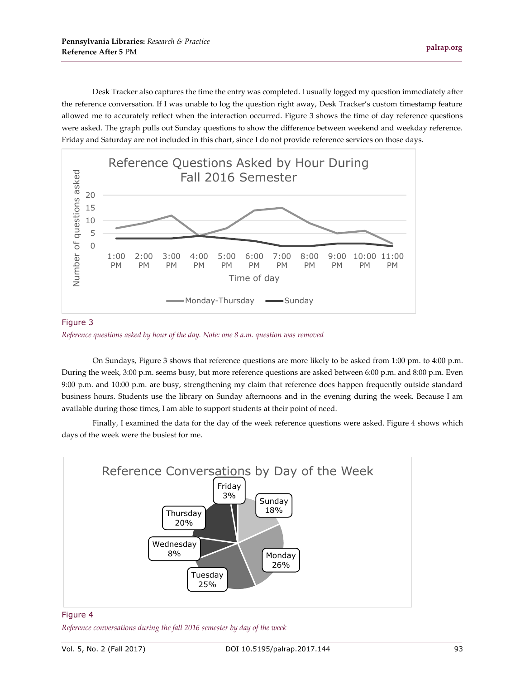Desk Tracker also captures the time the entry was completed. I usually logged my question immediately after the reference conversation. If I was unable to log the question right away, Desk Tracker's custom timestamp feature allowed me to accurately reflect when the interaction occurred. Figure 3 shows the time of day reference questions were asked. The graph pulls out Sunday questions to show the difference between weekend and weekday reference. Friday and Saturday are not included in this chart, since I do not provide reference services on those days.



Figure 3 *Reference questions asked by hour of the day. Note: one 8 a.m. question was removed*

On Sundays, Figure 3 shows that reference questions are more likely to be asked from 1:00 pm. to 4:00 p.m. During the week, 3:00 p.m. seems busy, but more reference questions are asked between 6:00 p.m. and 8:00 p.m. Even 9:00 p.m. and 10:00 p.m. are busy, strengthening my claim that reference does happen frequently outside standard business hours. Students use the library on Sunday afternoons and in the evening during the week. Because I am available during those times, I am able to support students at their point of need.

Finally, I examined the data for the day of the week reference questions were asked. Figure 4 shows which days of the week were the busiest for me.



#### Figure 4

*Reference conversations during the fall 2016 semester by day of the week*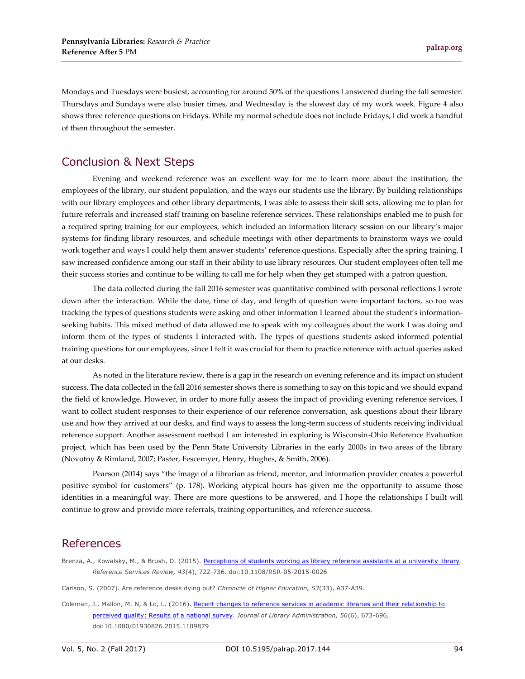Mondays and Tuesdays were busiest, accounting for around 50% of the questions I answered during the fall semester. Thursdays and Sundays were also busier times, and Wednesday is the slowest day of my work week. Figure 4 also shows three reference questions on Fridays. While my normal schedule does not include Fridays, I did work a handful of them throughout the semester.

# Conclusion & Next Steps

Evening and weekend reference was an excellent way for me to learn more about the institution, the employees of the library, our student population, and the ways our students use the library. By building relationships with our library employees and other library departments, I was able to assess their skill sets, allowing me to plan for future referrals and increased staff training on baseline reference services. These relationships enabled me to push for a required spring training for our employees, which included an information literacy session on our library's major systems for finding library resources, and schedule meetings with other departments to brainstorm ways we could work together and ways I could help them answer students' reference questions. Especially after the spring training, I saw increased confidence among our staff in their ability to use library resources. Our student employees often tell me their success stories and continue to be willing to call me for help when they get stumped with a patron question.

The data collected during the fall 2016 semester was quantitative combined with personal reflections I wrote down after the interaction. While the date, time of day, and length of question were important factors, so too was tracking the types of questions students were asking and other information I learned about the student's informationseeking habits. This mixed method of data allowed me to speak with my colleagues about the work I was doing and inform them of the types of students I interacted with. The types of questions students asked informed potential training questions for our employees, since I felt it was crucial for them to practice reference with actual queries asked at our desks.

As noted in the literature review, there is a gap in the research on evening reference and its impact on student success. The data collected in the fall 2016 semester shows there is something to say on this topic and we should expand the field of knowledge. However, in order to more fully assess the impact of providing evening reference services, I want to collect student responses to their experience of our reference conversation, ask questions about their library use and how they arrived at our desks, and find ways to assess the long-term success of students receiving individual reference support. Another assessment method I am interested in exploring is Wisconsin-Ohio Reference Evaluation project, which has been used by the Penn State University Libraries in the early 2000s in two areas of the library (Novotny & Rimland, 2007; Paster, Fescemyer, Henry, Hughes, & Smith, 2006).

Pearson (2014) says "the image of a librarian as friend, mentor, and information provider creates a powerful positive symbol for customers" (p. 178). Working atypical hours has given me the opportunity to assume those identities in a meaningful way. There are more questions to be answered, and I hope the relationships I built will continue to grow and provide more referrals, training opportunities, and reference success.

### References

- Brenza, A., Kowalsky, M., & Brush, D. (2015). [Perceptions of students working as library reference assistants at a university library.](http://dx.doi.org/10.1108/RSR-05-2015-0026) *Reference Services Review, 43*(4), 722-736. doi:10.1108/RSR-05-2015-0026
- Carlson, S. (2007). Are reference desks dying out? *Chronicle of Higher Education, 53*(33), A37-A39.
- Coleman, J., Mallon, M. N, & Lo, L. (2016). Recent changes to reference services in academic libraries and their relationship to [perceived quality: Results of a national survey.](http://dx.doi.org/10.1080/01930826.2015.1109879) *Journal of Library Administration, 56*(6), 673-696, doi:10.1080/01930826.2015.1109879